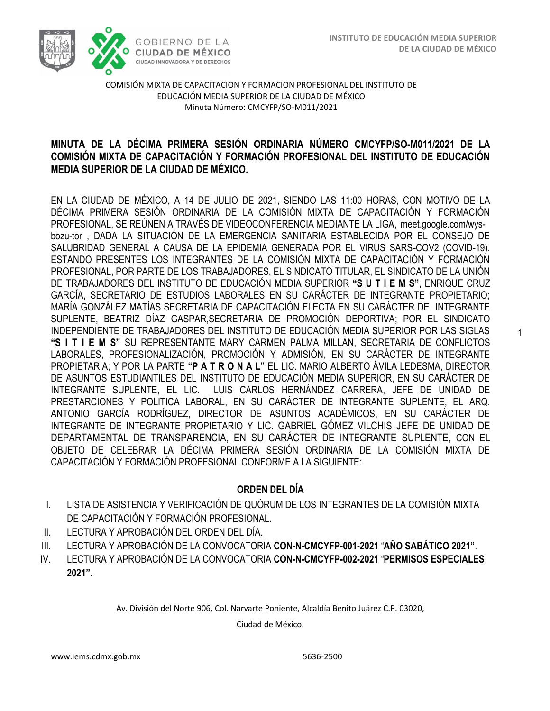1



COMISIÓN MIXTA DE CAPACITACION Y FORMACION PROFESIONAL DEL INSTITUTO DE EDUCACIÓN MEDIA SUPERIOR DE LA CIUDAD DE MÉXICO Minuta Número: CMCYFP/SO-M011/2021

#### /2020 **MINUTA DE LA DÉCIMA PRIMERA SESIÓN ORDINARIA NÚMERO CMCYFP/SO-M011/2021 DE LA COMISIÓN MIXTA DE CAPACITACIÓN Y FORMACIÓN PROFESIONAL DEL INSTITUTO DE EDUCACIÓN MEDIA SUPERIOR DE LA CIUDAD DE MÉXICO.**

EN LA CIUDAD DE MÉXICO, A 14 DE JULIO DE 2021, SIENDO LAS 11:00 HORAS, CON MOTIVO DE LA DÉCIMA PRIMERA SESIÓN ORDINARIA DE LA COMISIÓN MIXTA DE CAPACITACIÓN Y FORMACIÓN PROFESIONAL, SE REÚNEN A TRAVÉS DE VIDEOCONFERENCIA MEDIANTE LA LIGA, meet.google.com/wysbozu-tor , DADA LA SITUACIÓN DE LA EMERGENCIA SANITARIA ESTABLECIDA POR EL CONSEJO DE SALUBRIDAD GENERAL A CAUSA DE LA EPIDEMIA GENERADA POR EL VIRUS SARS-COV2 (COVID-19). ESTANDO PRESENTES LOS INTEGRANTES DE LA COMISIÓN MIXTA DE CAPACITACIÓN Y FORMACIÓN PROFESIONAL, POR PARTE DE LOS TRABAJADORES, EL SINDICATO TITULAR, EL SINDICATO DE LA UNIÓN DE TRABAJADORES DEL INSTITUTO DE EDUCACIÓN MEDIA SUPERIOR **"S U T I E M S"**, ENRIQUE CRUZ GARCÍA, SECRETARIO DE ESTUDIOS LABORALES EN SU CARÁCTER DE INTEGRANTE PROPIETARIO; MARÍA GONZÁLEZ MATÍAS SECRETARIA DE CAPACITACIÓN ELECTA EN SU CARÁCTER DE INTEGRANTE SUPLENTE, BEATRIZ DÍAZ GASPAR,SECRETARIA DE PROMOCIÓN DEPORTIVA; POR EL SINDICATO INDEPENDIENTE DE TRABAJADORES DEL INSTITUTO DE EDUCACIÓN MEDIA SUPERIOR POR LAS SIGLAS **"S I T I E M S"** SU REPRESENTANTE MARY CARMEN PALMA MILLAN, SECRETARIA DE CONFLICTOS LABORALES, PROFESIONALIZACIÓN, PROMOCIÓN Y ADMISIÓN, EN SU CARÁCTER DE INTEGRANTE PROPIETARIA; Y POR LA PARTE **"P A T R O N A L"** EL LIC. MARIO ALBERTO ÁVILA LEDESMA, DIRECTOR DE ASUNTOS ESTUDIANTILES DEL INSTITUTO DE EDUCACIÓN MEDIA SUPERIOR, EN SU CARÁCTER DE INTEGRANTE SUPLENTE, EL LIC. LUIS CARLOS HERNÁNDEZ CARRERA, JEFE DE UNIDAD DE PRESTARCIONES Y POLITICA LABORAL, EN SU CARÁCTER DE INTEGRANTE SUPLENTE, EL ARQ. ANTONIO GARCÍA RODRÍGUEZ, DIRECTOR DE ASUNTOS ACADÉMICOS, EN SU CARÁCTER DE INTEGRANTE DE INTEGRANTE PROPIETARIO Y LIC. GABRIEL GÓMEZ VILCHIS JEFE DE UNIDAD DE DEPARTAMENTAL DE TRANSPARENCIA, EN SU CARÁCTER DE INTEGRANTE SUPLENTE, CON EL OBJETO DE CELEBRAR LA DÉCIMA PRIMERA SESIÓN ORDINARIA DE LA COMISIÓN MIXTA DE CAPACITACIÓN Y FORMACIÓN PROFESIONAL CONFORME A LA SIGUIENTE:

### **ORDEN DEL DÍA**

- I. LISTA DE ASISTENCIA Y VERIFICACIÓN DE QUÓRUM DE LOS INTEGRANTES DE LA COMISIÓN MIXTA DE CAPACITACIÓN Y FORMACIÓN PROFESIONAL.
- II. LECTURA Y APROBACIÓN DEL ORDEN DEL DÍA.
- III. LECTURA Y APROBACIÓN DE LA CONVOCATORIA **CON-N-CMCYFP-001-2021** "**AÑO SABÁTICO 2021"**.
- IV. LECTURA Y APROBACIÓN DE LA CONVOCATORIA **CON-N-CMCYFP-002-2021** "**PERMISOS ESPECIALES 2021"**.

Av. División del Norte 906, Col. Narvarte Poniente, Alcaldía Benito Juárez C.P. 03020,

Ciudad de México.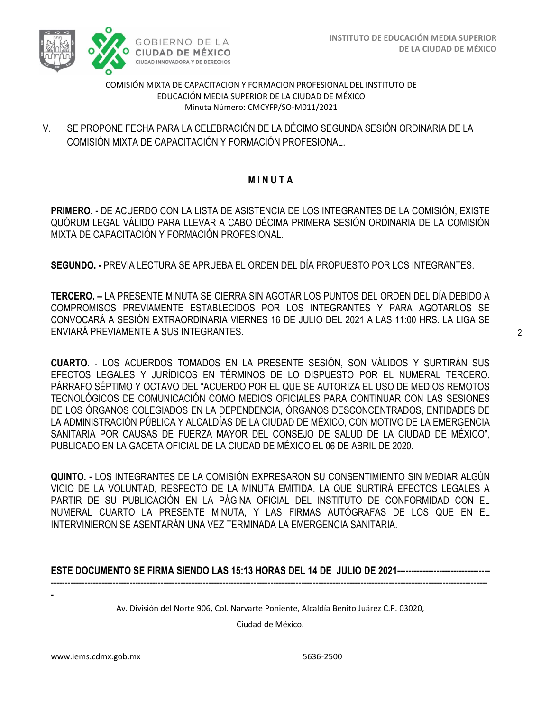

COMISIÓN MIXTA DE CAPACITACION Y FORMACION PROFESIONAL DEL INSTITUTO DE EDUCACIÓN MEDIA SUPERIOR DE LA CIUDAD DE MÉXICO Minuta Número: CMCYFP/SO-M011/2021

COMISIÓN MIXTA DE CAPACITACIÓN Y FORMACIÓN PROFESIONAL. V. SE PROPONE FECHA PARA LA CELEBRACIÓN DE LA DÉCIMO SEGUNDA SESIÓN ORDINARIA DE LA

## **M I N U T A**

**PRIMERO. -** DE ACUERDO CON LA LISTA DE ASISTENCIA DE LOS INTEGRANTES DE LA COMISIÓN, EXISTE QUÓRUM LEGAL VÁLIDO PARA LLEVAR A CABO DÉCIMA PRIMERA SESIÓN ORDINARIA DE LA COMISIÓN MIXTA DE CAPACITACIÓN Y FORMACIÓN PROFESIONAL.

**SEGUNDO. -** PREVIA LECTURA SE APRUEBA EL ORDEN DEL DÍA PROPUESTO POR LOS INTEGRANTES.

**TERCERO. –** LA PRESENTE MINUTA SE CIERRA SIN AGOTAR LOS PUNTOS DEL ORDEN DEL DÍA DEBIDO A COMPROMISOS PREVIAMENTE ESTABLECIDOS POR LOS INTEGRANTES Y PARA AGOTARLOS SE CONVOCARÁ A SESIÓN EXTRAORDINARIA VIERNES 16 DE JULIO DEL 2021 A LAS 11:00 HRS. LA LIGA SE ENVIARÁ PREVIAMENTE A SUS INTEGRANTES.

**CUARTO.** - LOS ACUERDOS TOMADOS EN LA PRESENTE SESIÓN, SON VÁLIDOS Y SURTIRÁN SUS EFECTOS LEGALES Y JURÍDICOS EN TÉRMINOS DE LO DISPUESTO POR EL NUMERAL TERCERO. PÁRRAFO SÉPTIMO Y OCTAVO DEL "ACUERDO POR EL QUE SE AUTORIZA EL USO DE MEDIOS REMOTOS TECNOLÓGICOS DE COMUNICACIÓN COMO MEDIOS OFICIALES PARA CONTINUAR CON LAS SESIONES DE LOS ÓRGANOS COLEGIADOS EN LA DEPENDENCIA, ÓRGANOS DESCONCENTRADOS, ENTIDADES DE LA ADMINISTRACIÓN PÚBLICA Y ALCALDÍAS DE LA CIUDAD DE MÉXICO, CON MOTIVO DE LA EMERGENCIA SANITARIA POR CAUSAS DE FUERZA MAYOR DEL CONSEJO DE SALUD DE LA CIUDAD DE MÉXICO", PUBLICADO EN LA GACETA OFICIAL DE LA CIUDAD DE MÉXICO EL 06 DE ABRIL DE 2020.

**QUINTO. -** LOS INTEGRANTES DE LA COMISIÓN EXPRESARON SU CONSENTIMIENTO SIN MEDIAR ALGÚN VICIO DE LA VOLUNTAD, RESPECTO DE LA MINUTA EMITIDA. LA QUE SURTIRÁ EFECTOS LEGALES A PARTIR DE SU PUBLICACIÓN EN LA PÁGINA OFICIAL DEL INSTITUTO DE CONFORMIDAD CON EL NUMERAL CUARTO LA PRESENTE MINUTA, Y LAS FIRMAS AUTÓGRAFAS DE LOS QUE EN EL INTERVINIERON SE ASENTARÁN UNA VEZ TERMINADA LA EMERGENCIA SANITARIA.

**ESTE DOCUMENTO SE FIRMA SIENDO LAS 15:13 HORAS DEL 14 DE JULIO DE 2021--------------------------------- -----------------------------------------------------------------------------------------------------------------------------------------------------------**

Av. División del Norte 906, Col. Narvarte Poniente, Alcaldía Benito Juárez C.P. 03020,

Ciudad de México.

**-**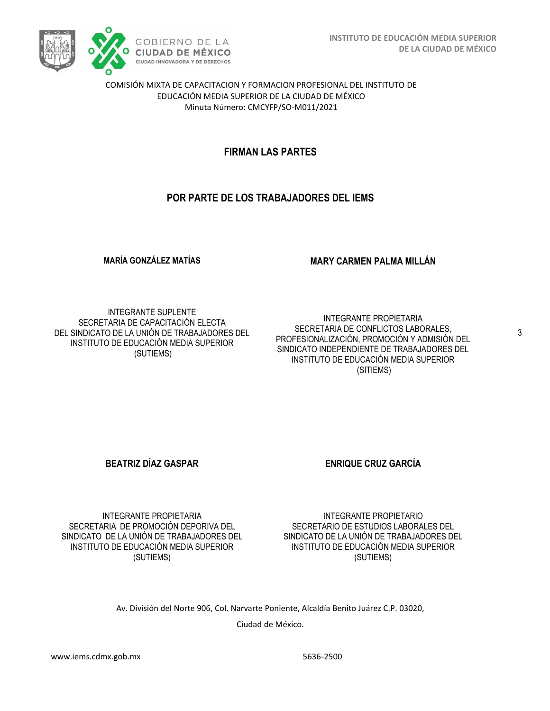

COMISIÓN MIXTA DE CAPACITACION Y FORMACION PROFESIONAL DEL INSTITUTO DE EDUCACIÓN MEDIA SUPERIOR DE LA CIUDAD DE MÉXICO Minuta Número: CMCYFP/SO-M011/2021

## **FIRMAN LAS PARTES**

## **POR PARTE DE LOS TRABAJADORES DEL IEMS**

**MARÍA GONZÁLEZ MATÍAS** 

**MARY CARMEN PALMA MILLÁN**

INTEGRANTE SUPLENTE SECRETARIA DE CAPACITACIÓN ELECTA DEL SINDICATO DE LA UNIÓN DE TRABAJADORES DEL INSTITUTO DE EDUCACIÓN MEDIA SUPERIOR (SUTIEMS)

INTEGRANTE PROPIETARIA SECRETARIA DE CONFLICTOS LABORALES, PROFESIONALIZACIÓN, PROMOCIÓN Y ADMISIÓN DEL SINDICATO INDEPENDIENTE DE TRABAJADORES DEL INSTITUTO DE EDUCACIÓN MEDIA SUPERIOR (SITIEMS)

**BEATRIZ DÍAZ GASPAR ENRIQUE CRUZ GARCÍA** 

INTEGRANTE PROPIETARIA SECRETARIA DE PROMOCIÓN DEPORIVA DEL SINDICATO DE LA UNIÓN DE TRABAJADORES DEL INSTITUTO DE EDUCACIÓN MEDIA SUPERIOR (SUTIEMS)

INTEGRANTE PROPIETARIO SECRETARIO DE ESTUDIOS LABORALES DEL SINDICATO DE LA UNIÓN DE TRABAJADORES DEL INSTITUTO DE EDUCACIÓN MEDIA SUPERIOR (SUTIEMS)

Av. División del Norte 906, Col. Narvarte Poniente, Alcaldía Benito Juárez C.P. 03020,

Ciudad de México.